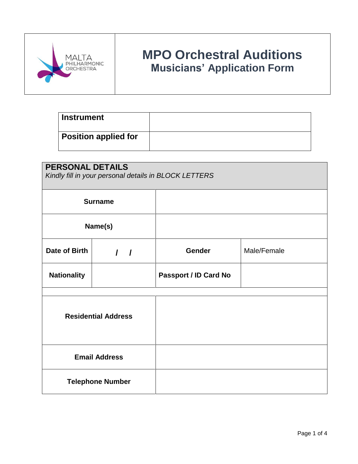

## **MPO Orchestral Auditions Musicians' Application Form**

| <b>Instrument</b>           |  |
|-----------------------------|--|
| <b>Position applied for</b> |  |

| <b>PERSONAL DETAILS</b><br>Kindly fill in your personal details in BLOCK LETTERS |  |            |                       |             |  |  |  |
|----------------------------------------------------------------------------------|--|------------|-----------------------|-------------|--|--|--|
| <b>Surname</b>                                                                   |  |            |                       |             |  |  |  |
| Name(s)                                                                          |  |            |                       |             |  |  |  |
| Date of Birth                                                                    |  | $\sqrt{ }$ | Gender                | Male/Female |  |  |  |
| <b>Nationality</b>                                                               |  |            | Passport / ID Card No |             |  |  |  |
| <b>Residential Address</b>                                                       |  |            |                       |             |  |  |  |
| <b>Email Address</b>                                                             |  |            |                       |             |  |  |  |
| <b>Telephone Number</b>                                                          |  |            |                       |             |  |  |  |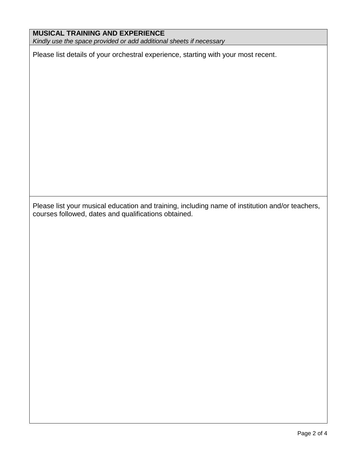## **MUSICAL TRAINING AND EXPERIENCE**

*Kindly use the space provided or add additional sheets if necessary*

Please list details of your orchestral experience, starting with your most recent.

Please list your musical education and training, including name of institution and/or teachers, courses followed, dates and qualifications obtained.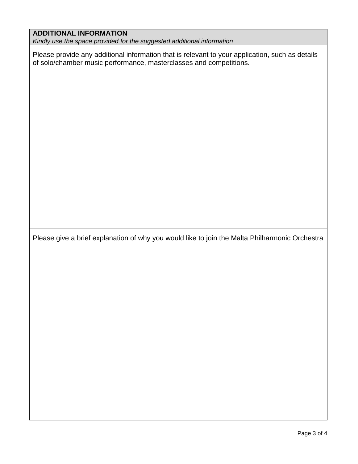## **ADDITIONAL INFORMATION**

*Kindly use the space provided for the suggested additional information*

Please provide any additional information that is relevant to your application, such as details of solo/chamber music performance, masterclasses and competitions.

Please give a brief explanation of why you would like to join the Malta Philharmonic Orchestra